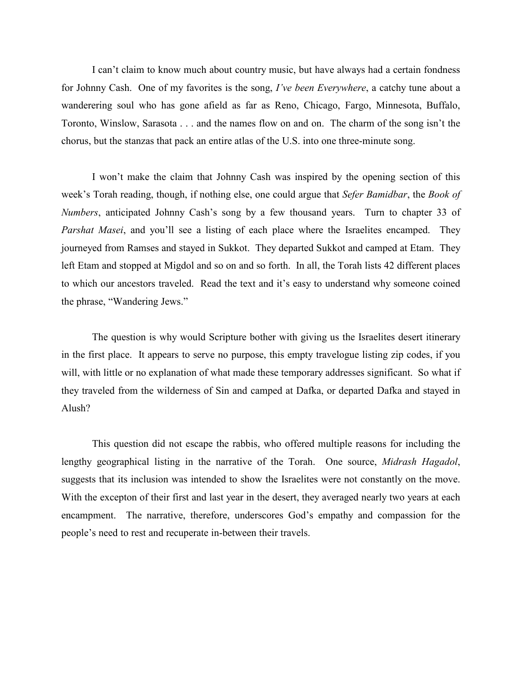I can't claim to know much about country music, but have always had a certain fondness for Johnny Cash. One of my favorites is the song, *I've been Everywhere*, a catchy tune about a wanderering soul who has gone afield as far as Reno, Chicago, Fargo, Minnesota, Buffalo, Toronto, Winslow, Sarasota . . . and the names flow on and on. The charm of the song isn't the chorus, but the stanzas that pack an entire atlas of the U.S. into one three-minute song.

I won't make the claim that Johnny Cash was inspired by the opening section of this week's Torah reading, though, if nothing else, one could argue that *Sefer Bamidbar*, the *Book of Numbers*, anticipated Johnny Cash's song by a few thousand years. Turn to chapter 33 of *Parshat Masei*, and you'll see a listing of each place where the Israelites encamped. They journeyed from Ramses and stayed in Sukkot. They departed Sukkot and camped at Etam. They left Etam and stopped at Migdol and so on and so forth. In all, the Torah lists 42 different places to which our ancestors traveled. Read the text and it's easy to understand why someone coined the phrase, "Wandering Jews."

The question is why would Scripture bother with giving us the Israelites desert itinerary in the first place. It appears to serve no purpose, this empty travelogue listing zip codes, if you will, with little or no explanation of what made these temporary addresses significant. So what if they traveled from the wilderness of Sin and camped at Dafka, or departed Dafka and stayed in Alush?

This question did not escape the rabbis, who offered multiple reasons for including the lengthy geographical listing in the narrative of the Torah. One source, *Midrash Hagadol*, suggests that its inclusion was intended to show the Israelites were not constantly on the move. With the excepton of their first and last year in the desert, they averaged nearly two years at each encampment. The narrative, therefore, underscores God's empathy and compassion for the people's need to rest and recuperate in-between their travels.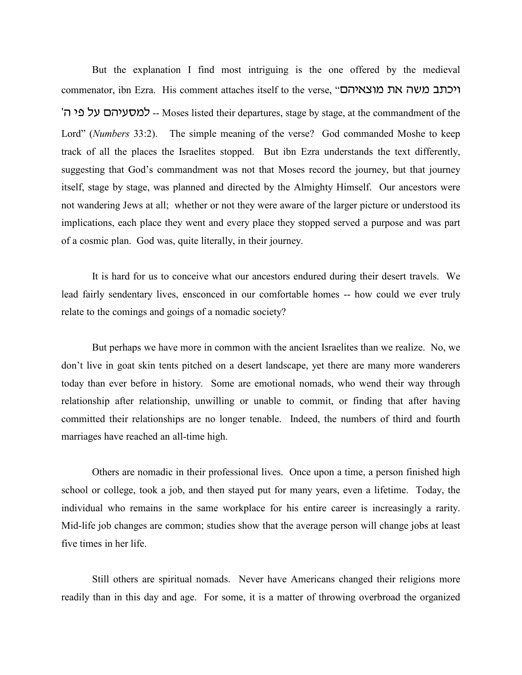But the explanation I find most intriguing is the one offered by the medieval commenator, ibn Ezra. His comment attaches itself to the verse, "וכתב משה את מוצאיהם '-- למסעיהם על פי ה-Moses listed their departures, stage by stage, at the commandment of the Lord" (*Numbers* 33:2). The simple meaning of the verse? God commanded Moshe to keep track of all the places the Israelites stopped. But ibn Ezra understands the text differently, suggesting that God's commandment was not that Moses record the journey, but that journey itself, stage by stage, was planned and directed by the Almighty Himself. Our ancestors were not wandering Jews at all; whether or not they were aware of the larger picture or understood its implications, each place they went and every place they stopped served a purpose and was part of a cosmic plan. God was, quite literally, in their journey.

It is hard for us to conceive what our ancestors endured during their desert travels. We lead fairly sendentary lives, ensconced in our comfortable homes -- how could we ever truly relate to the comings and goings of a nomadic society?

But perhaps we have more in common with the ancient Israelites than we realize. No, we don't live in goat skin tents pitched on a desert landscape, yet there are many more wanderers today than ever before in history. Some are emotional nomads, who wend their way through relationship after relationship, unwilling or unable to commit, or finding that after having committed their relationships are no longer tenable. Indeed, the numbers of third and fourth marriages have reached an all-time high.

Others are nomadic in their professional lives. Once upon a time, a person finished high school or college, took a job, and then stayed put for many years, even a lifetime. Today, the individual who remains in the same workplace for his entire career is increasingly a rarity. Mid-life job changes are common; studies show that the average person will change jobs at least five times in her life.

Still others are spiritual nomads. Never have Americans changed their religions more readily than in this day and age. For some, it is a matter of throwing overbroad the organized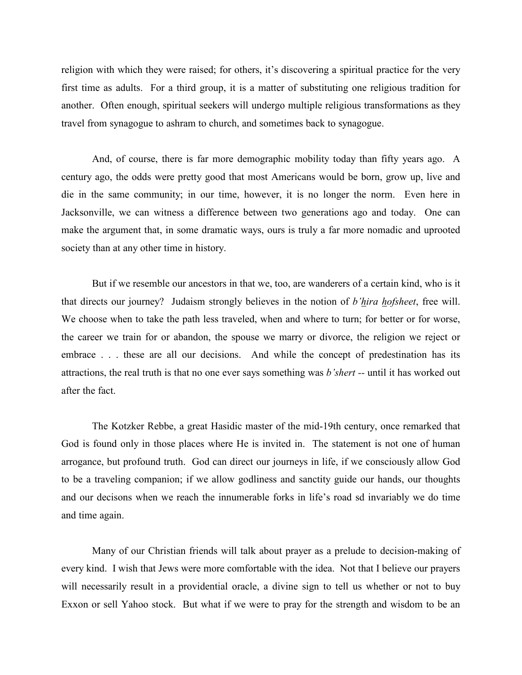religion with which they were raised; for others, it's discovering a spiritual practice for the very first time as adults. For a third group, it is a matter of substituting one religious tradition for another. Often enough, spiritual seekers will undergo multiple religious transformations as they travel from synagogue to ashram to church, and sometimes back to synagogue.

And, of course, there is far more demographic mobility today than fifty years ago. A century ago, the odds were pretty good that most Americans would be born, grow up, live and die in the same community; in our time, however, it is no longer the norm. Even here in Jacksonville, we can witness a difference between two generations ago and today. One can make the argument that, in some dramatic ways, ours is truly a far more nomadic and uprooted society than at any other time in history.

But if we resemble our ancestors in that we, too, are wanderers of a certain kind, who is it that directs our journey? Judaism strongly believes in the notion of *b'hira hofsheet*, free will. We choose when to take the path less traveled, when and where to turn; for better or for worse, the career we train for or abandon, the spouse we marry or divorce, the religion we reject or embrace . . . these are all our decisions. And while the concept of predestination has its attractions, the real truth is that no one ever says something was *b'shert --* until it has worked out after the fact.

The Kotzker Rebbe, a great Hasidic master of the mid-19th century, once remarked that God is found only in those places where He is invited in. The statement is not one of human arrogance, but profound truth. God can direct our journeys in life, if we consciously allow God to be a traveling companion; if we allow godliness and sanctity guide our hands, our thoughts and our decisons when we reach the innumerable forks in life's road sd invariably we do time and time again.

Many of our Christian friends will talk about prayer as a prelude to decision-making of every kind. I wish that Jews were more comfortable with the idea. Not that I believe our prayers will necessarily result in a providential oracle, a divine sign to tell us whether or not to buy Exxon or sell Yahoo stock. But what if we were to pray for the strength and wisdom to be an